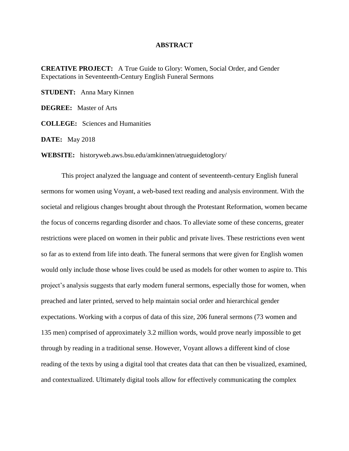## **ABSTRACT**

**CREATIVE PROJECT:** A True Guide to Glory: Women, Social Order, and Gender Expectations in Seventeenth-Century English Funeral Sermons

**STUDENT:** Anna Mary Kinnen

**DEGREE:** Master of Arts

**COLLEGE:** Sciences and Humanities

**DATE:** May 2018

**WEBSITE:** historyweb.aws.bsu.edu/amkinnen/atrueguidetoglory/

This project analyzed the language and content of seventeenth-century English funeral sermons for women using Voyant, a web-based text reading and analysis environment. With the societal and religious changes brought about through the Protestant Reformation, women became the focus of concerns regarding disorder and chaos. To alleviate some of these concerns, greater restrictions were placed on women in their public and private lives. These restrictions even went so far as to extend from life into death. The funeral sermons that were given for English women would only include those whose lives could be used as models for other women to aspire to. This project's analysis suggests that early modern funeral sermons, especially those for women, when preached and later printed, served to help maintain social order and hierarchical gender expectations. Working with a corpus of data of this size, 206 funeral sermons (73 women and 135 men) comprised of approximately 3.2 million words, would prove nearly impossible to get through by reading in a traditional sense. However, Voyant allows a different kind of close reading of the texts by using a digital tool that creates data that can then be visualized, examined, and contextualized. Ultimately digital tools allow for effectively communicating the complex